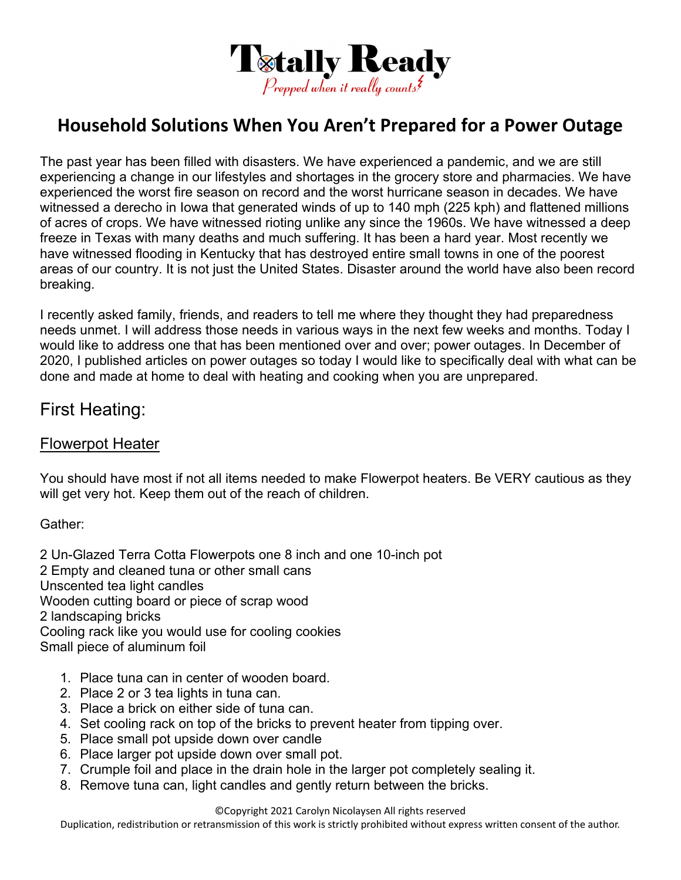

# **Household Solutions When You Aren't Prepared for a Power Outage**

The past year has been filled with disasters. We have experienced a pandemic, and we are still experiencing a change in our lifestyles and shortages in the grocery store and pharmacies. We have experienced the worst fire season on record and the worst hurricane season in decades. We have witnessed a derecho in Iowa that generated winds of up to 140 mph (225 kph) and flattened millions of acres of crops. We have witnessed rioting unlike any since the 1960s. We have witnessed a deep freeze in Texas with many deaths and much suffering. It has been a hard year. Most recently we have witnessed flooding in Kentucky that has destroyed entire small towns in one of the poorest areas of our country. It is not just the United States. Disaster around the world have also been record breaking.

I recently asked family, friends, and readers to tell me where they thought they had preparedness needs unmet. I will address those needs in various ways in the next few weeks and months. Today I would like to address one that has been mentioned over and over; power outages. In December of 2020, I published articles on power outages so today I would like to specifically deal with what can be done and made at home to deal with heating and cooking when you are unprepared.

### First Heating:

#### Flowerpot Heater

You should have most if not all items needed to make Flowerpot heaters. Be VERY cautious as they will get very hot. Keep them out of the reach of children.

Gather:

2 Un-Glazed Terra Cotta Flowerpots one 8 inch and one 10-inch pot 2 Empty and cleaned tuna or other small cans Unscented tea light candles Wooden cutting board or piece of scrap wood 2 landscaping bricks Cooling rack like you would use for cooling cookies Small piece of aluminum foil

- 1. Place tuna can in center of wooden board.
- 2. Place 2 or 3 tea lights in tuna can.
- 3. Place a brick on either side of tuna can.
- 4. Set cooling rack on top of the bricks to prevent heater from tipping over.
- 5. Place small pot upside down over candle
- 6. Place larger pot upside down over small pot.
- 7. Crumple foil and place in the drain hole in the larger pot completely sealing it.
- 8. Remove tuna can, light candles and gently return between the bricks.

©Copyright 2021 Carolyn Nicolaysen All rights reserved

Duplication, redistribution or retransmission of this work is strictly prohibited without express written consent of the author.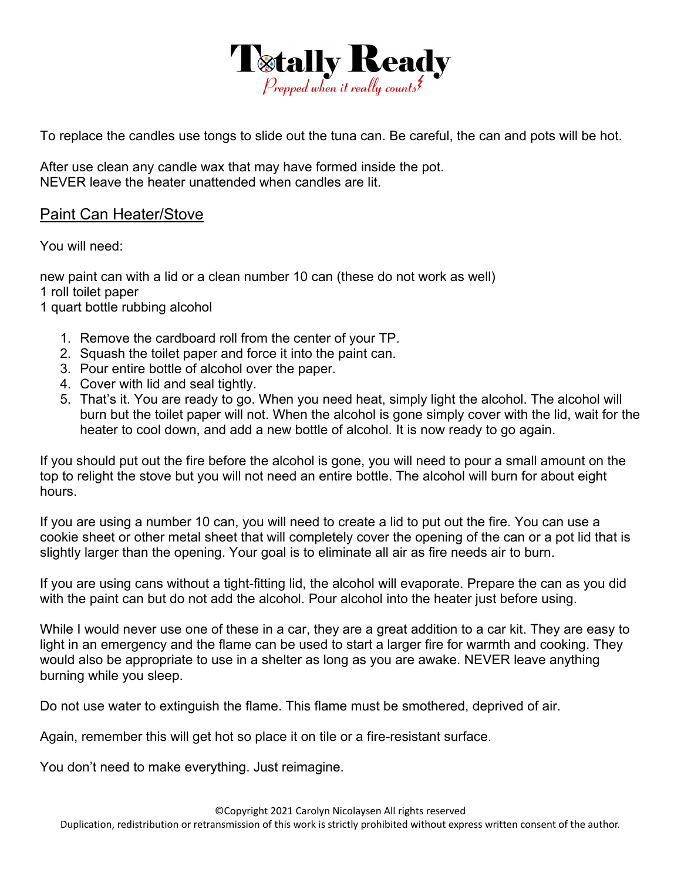

To replace the candles use tongs to slide out the tuna can. Be careful, the can and pots will be hot.

After use clean any candle wax that may have formed inside the pot. NEVER leave the heater unattended when candles are lit.

#### Paint Can Heater/Stove

You will need:

new paint can with a lid or a clean number 10 can (these do not work as well) 1 roll toilet paper

1 quart bottle rubbing alcohol

- 1. Remove the cardboard roll from the center of your TP.
- 2. Squash the toilet paper and force it into the paint can.
- 3. Pour entire bottle of alcohol over the paper.
- 4. Cover with lid and seal tightly.
- 5. That's it. You are ready to go. When you need heat, simply light the alcohol. The alcohol will burn but the toilet paper will not. When the alcohol is gone simply cover with the lid, wait for the heater to cool down, and add a new bottle of alcohol. It is now ready to go again.

If you should put out the fire before the alcohol is gone, you will need to pour a small amount on the top to relight the stove but you will not need an entire bottle. The alcohol will burn for about eight hours.

If you are using a number 10 can, you will need to create a lid to put out the fire. You can use a cookie sheet or other metal sheet that will completely cover the opening of the can or a pot lid that is slightly larger than the opening. Your goal is to eliminate all air as fire needs air to burn.

If you are using cans without a tight-fitting lid, the alcohol will evaporate. Prepare the can as you did with the paint can but do not add the alcohol. Pour alcohol into the heater just before using.

While I would never use one of these in a car, they are a great addition to a car kit. They are easy to light in an emergency and the flame can be used to start a larger fire for warmth and cooking. They would also be appropriate to use in a shelter as long as you are awake. NEVER leave anything burning while you sleep.

Do not use water to extinguish the flame. This flame must be smothered, deprived of air.

Again, remember this will get hot so place it on tile or a fire-resistant surface.

You don't need to make everything. Just reimagine.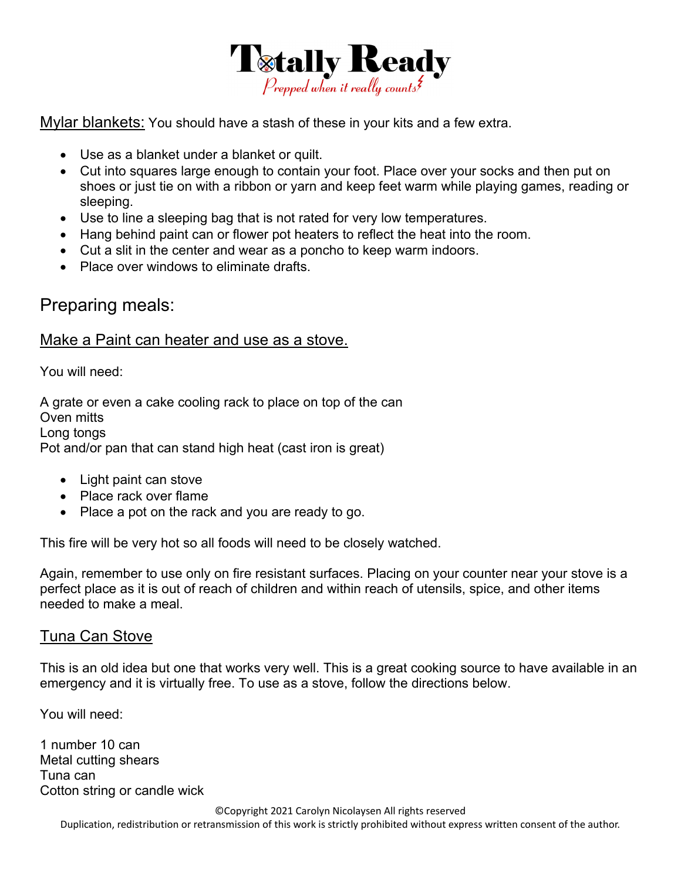

Mylar blankets: You should have a stash of these in your kits and a few extra.

- Use as a blanket under a blanket or quilt.
- Cut into squares large enough to contain your foot. Place over your socks and then put on shoes or just tie on with a ribbon or yarn and keep feet warm while playing games, reading or sleeping.
- Use to line a sleeping bag that is not rated for very low temperatures.
- Hang behind paint can or flower pot heaters to reflect the heat into the room.
- Cut a slit in the center and wear as a poncho to keep warm indoors.
- Place over windows to eliminate drafts.

## Preparing meals:

#### Make a Paint can heater and use as a stove.

You will need:

A grate or even a cake cooling rack to place on top of the can Oven mitts Long tongs Pot and/or pan that can stand high heat (cast iron is great)

- Light paint can stove
- Place rack over flame
- Place a pot on the rack and you are ready to go.

This fire will be very hot so all foods will need to be closely watched.

Again, remember to use only on fire resistant surfaces. Placing on your counter near your stove is a perfect place as it is out of reach of children and within reach of utensils, spice, and other items needed to make a meal.

#### Tuna Can Stove

This is an old idea but one that works very well. This is a great cooking source to have available in an emergency and it is virtually free. To use as a stove, follow the directions below.

You will need:

1 number 10 can Metal cutting shears Tuna can Cotton string or candle wick

©Copyright 2021 Carolyn Nicolaysen All rights reserved

Duplication, redistribution or retransmission of this work is strictly prohibited without express written consent of the author.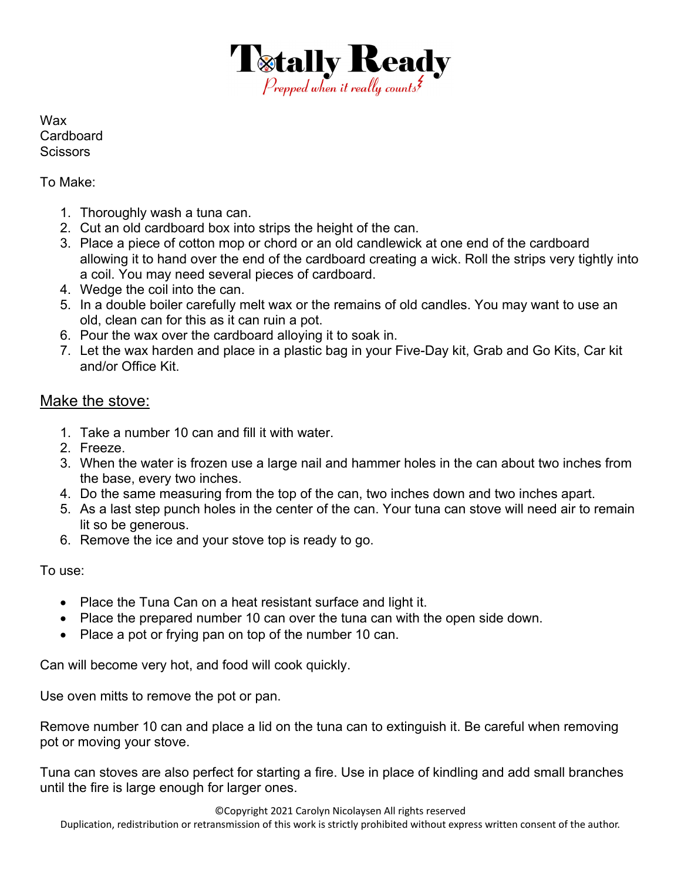

Wax **Cardboard Scissors** 

#### To Make:

- 1. Thoroughly wash a tuna can.
- 2. Cut an old cardboard box into strips the height of the can.
- 3. Place a piece of cotton mop or chord or an old candlewick at one end of the cardboard allowing it to hand over the end of the cardboard creating a wick. Roll the strips very tightly into a coil. You may need several pieces of cardboard.
- 4. Wedge the coil into the can.
- 5. In a double boiler carefully melt wax or the remains of old candles. You may want to use an old, clean can for this as it can ruin a pot.
- 6. Pour the wax over the cardboard alloying it to soak in.
- 7. Let the wax harden and place in a plastic bag in your Five-Day kit, Grab and Go Kits, Car kit and/or Office Kit.

#### Make the stove:

- 1. Take a number 10 can and fill it with water.
- 2. Freeze.
- 3. When the water is frozen use a large nail and hammer holes in the can about two inches from the base, every two inches.
- 4. Do the same measuring from the top of the can, two inches down and two inches apart.
- 5. As a last step punch holes in the center of the can. Your tuna can stove will need air to remain lit so be generous.
- 6. Remove the ice and your stove top is ready to go.

To use:

- Place the Tuna Can on a heat resistant surface and light it.
- Place the prepared number 10 can over the tuna can with the open side down.
- Place a pot or frying pan on top of the number 10 can.

Can will become very hot, and food will cook quickly.

Use oven mitts to remove the pot or pan.

Remove number 10 can and place a lid on the tuna can to extinguish it. Be careful when removing pot or moving your stove.

Tuna can stoves are also perfect for starting a fire. Use in place of kindling and add small branches until the fire is large enough for larger ones.

©Copyright 2021 Carolyn Nicolaysen All rights reserved

Duplication, redistribution or retransmission of this work is strictly prohibited without express written consent of the author.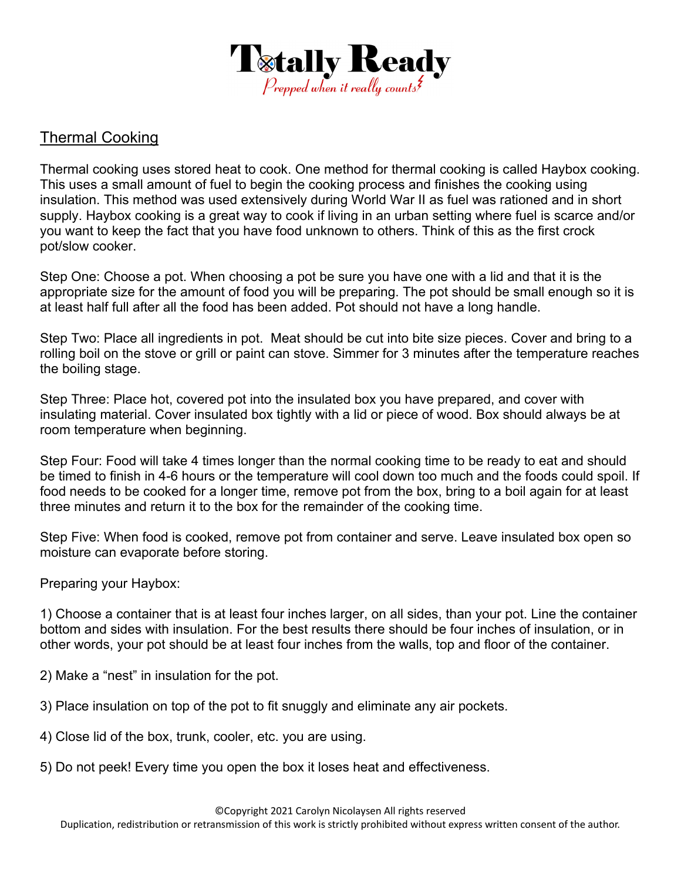

### Thermal Cooking

Thermal cooking uses stored heat to cook. One method for thermal cooking is called Haybox cooking. This uses a small amount of fuel to begin the cooking process and finishes the cooking using insulation. This method was used extensively during World War II as fuel was rationed and in short supply. Haybox cooking is a great way to cook if living in an urban setting where fuel is scarce and/or you want to keep the fact that you have food unknown to others. Think of this as the first crock pot/slow cooker.

Step One: Choose a pot. When choosing a pot be sure you have one with a lid and that it is the appropriate size for the amount of food you will be preparing. The pot should be small enough so it is at least half full after all the food has been added. Pot should not have a long handle.

Step Two: Place all ingredients in pot. Meat should be cut into bite size pieces. Cover and bring to a rolling boil on the stove or grill or paint can stove. Simmer for 3 minutes after the temperature reaches the boiling stage.

Step Three: Place hot, covered pot into the insulated box you have prepared, and cover with insulating material. Cover insulated box tightly with a lid or piece of wood. Box should always be at room temperature when beginning.

Step Four: Food will take 4 times longer than the normal cooking time to be ready to eat and should be timed to finish in 4-6 hours or the temperature will cool down too much and the foods could spoil. If food needs to be cooked for a longer time, remove pot from the box, bring to a boil again for at least three minutes and return it to the box for the remainder of the cooking time.

Step Five: When food is cooked, remove pot from container and serve. Leave insulated box open so moisture can evaporate before storing.

Preparing your Haybox:

1) Choose a container that is at least four inches larger, on all sides, than your pot. Line the container bottom and sides with insulation. For the best results there should be four inches of insulation, or in other words, your pot should be at least four inches from the walls, top and floor of the container.

2) Make a "nest" in insulation for the pot.

- 3) Place insulation on top of the pot to fit snuggly and eliminate any air pockets.
- 4) Close lid of the box, trunk, cooler, etc. you are using.
- 5) Do not peek! Every time you open the box it loses heat and effectiveness.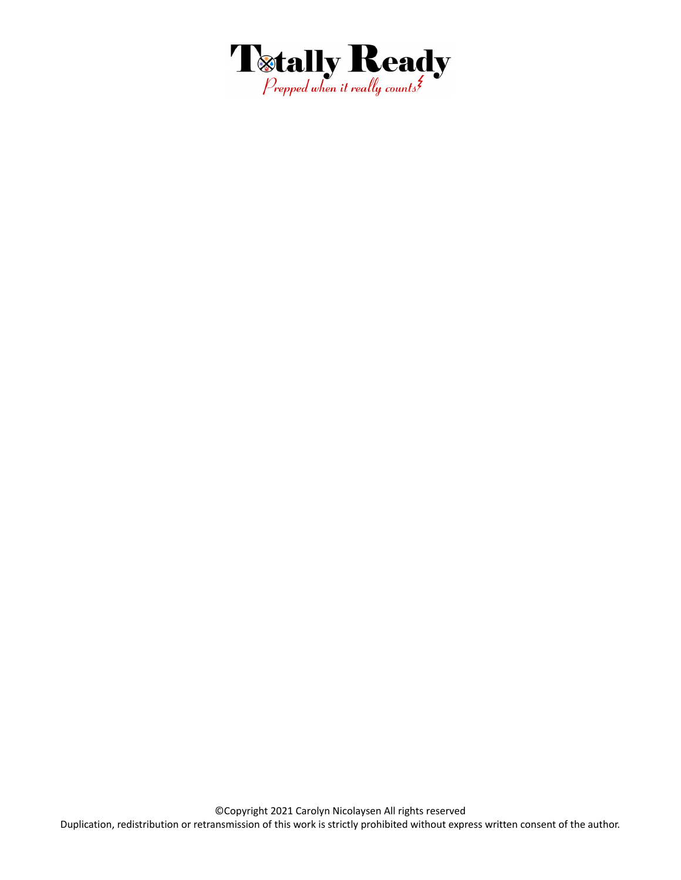